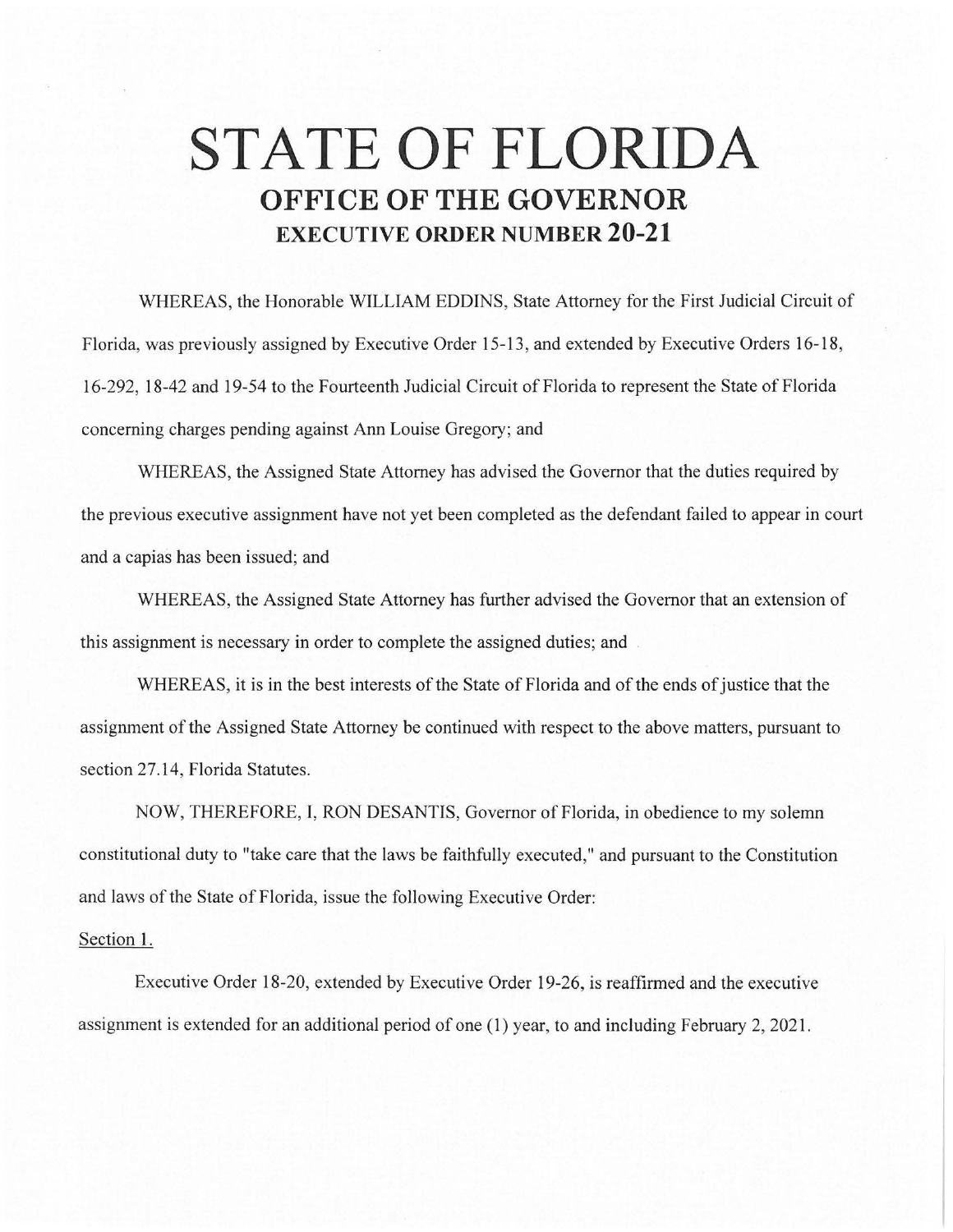## **STATE OF FLORIDA OFFICE OF THE GOVERNOR EXECUTIVE ORDER NUMBER 20-21**

WHEREAS, the Honorable WILLIAM EDDINS, State Attorney for the First Judicial Circuit of Florida, was previously assigned by Executive Order 15-13, and extended by Executive Orders 16-18, 16-292, 18-42 and 19-54 to the Fourteenth Judicial Circuit of Florida to represent the State of Florida concerning charges pending against Ann Louise Gregory; and

WHEREAS, the Assigned State Attorney has advised the Governor that the duties required by the previous executive assignment have not yet been completed as the defendant failed to appear in court and a capias has been issued; and

WHEREAS, the Assigned State Attorney has further advised the Governor that an extension of this assignment is necessary in order to complete the assigned duties; and

WHEREAS, it is in the best interests of the State of Florida and of the ends of justice that the assignment of the Assigned State Attorney be continued with respect to the above matters, pursuant to section 27.14, Florida Statutes.

NOW, THEREFORE, I, RON DESANTIS, Governor of Florida, in obedience to my solemn constitutional duty to "take care that the laws be faithfully executed," and pursuant to the Constitution and laws of the State of Florida, issue the following Executive Order:

## Section 1.

Executive Order 18-20, extended by Executive Order 19-26, is reaffirmed and the executive assignment is extended for an additional period of one (1) year, to and including February 2, 2021.